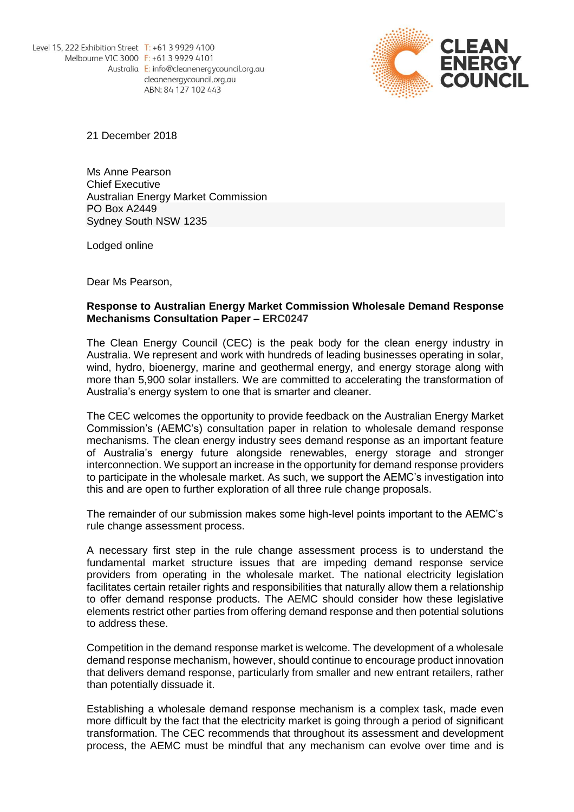

21 December 2018

Ms Anne Pearson Chief Executive Australian Energy Market Commission PO Box A2449 Sydney South NSW 1235

Lodged online

Dear Ms Pearson,

## **Response to Australian Energy Market Commission Wholesale Demand Response Mechanisms Consultation Paper – ERC0247**

The Clean Energy Council (CEC) is the peak body for the clean energy industry in Australia. We represent and work with hundreds of leading businesses operating in solar, wind, hydro, bioenergy, marine and geothermal energy, and energy storage along with more than 5,900 solar installers. We are committed to accelerating the transformation of Australia's energy system to one that is smarter and cleaner.

The CEC welcomes the opportunity to provide feedback on the Australian Energy Market Commission's (AEMC's) consultation paper in relation to wholesale demand response mechanisms. The clean energy industry sees demand response as an important feature of Australia's energy future alongside renewables, energy storage and stronger interconnection. We support an increase in the opportunity for demand response providers to participate in the wholesale market. As such, we support the AEMC's investigation into this and are open to further exploration of all three rule change proposals.

The remainder of our submission makes some high-level points important to the AEMC's rule change assessment process.

A necessary first step in the rule change assessment process is to understand the fundamental market structure issues that are impeding demand response service providers from operating in the wholesale market. The national electricity legislation facilitates certain retailer rights and responsibilities that naturally allow them a relationship to offer demand response products. The AEMC should consider how these legislative elements restrict other parties from offering demand response and then potential solutions to address these.

Competition in the demand response market is welcome. The development of a wholesale demand response mechanism, however, should continue to encourage product innovation that delivers demand response, particularly from smaller and new entrant retailers, rather than potentially dissuade it.

Establishing a wholesale demand response mechanism is a complex task, made even more difficult by the fact that the electricity market is going through a period of significant transformation. The CEC recommends that throughout its assessment and development process, the AEMC must be mindful that any mechanism can evolve over time and is